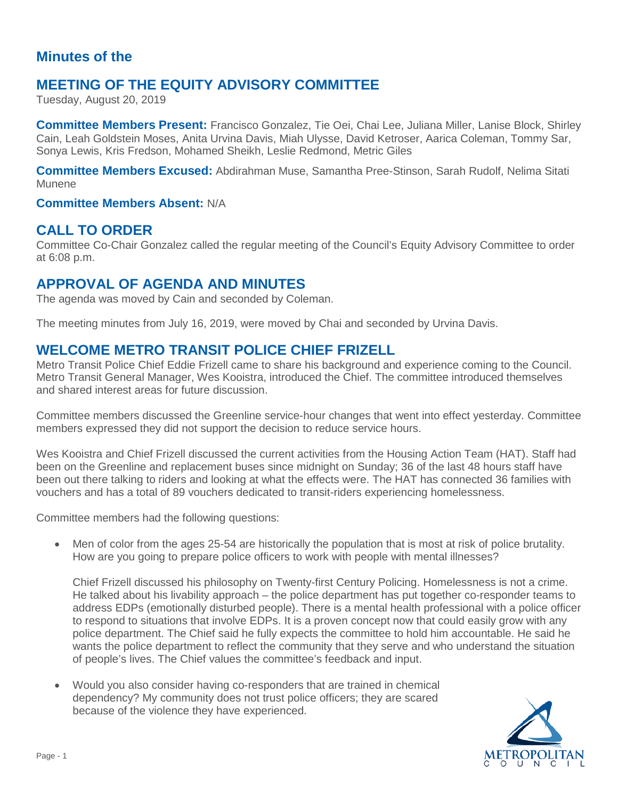# **Minutes of the**

# **MEETING OF THE EQUITY ADVISORY COMMITTEE**

Tuesday, August 20, 2019

**Committee Members Present:** Francisco Gonzalez, Tie Oei, Chai Lee, Juliana Miller, Lanise Block, Shirley Cain, Leah Goldstein Moses, Anita Urvina Davis, Miah Ulysse, David Ketroser, Aarica Coleman, Tommy Sar, Sonya Lewis, Kris Fredson, Mohamed Sheikh, Leslie Redmond, Metric Giles

**Committee Members Excused:** Abdirahman Muse, Samantha Pree-Stinson, Sarah Rudolf, Nelima Sitati Munene

#### **Committee Members Absent:** N/A

### **CALL TO ORDER**

Committee Co-Chair Gonzalez called the regular meeting of the Council's Equity Advisory Committee to order at 6:08 p.m.

## **APPROVAL OF AGENDA AND MINUTES**

The agenda was moved by Cain and seconded by Coleman.

The meeting minutes from July 16, 2019, were moved by Chai and seconded by Urvina Davis.

## **WELCOME METRO TRANSIT POLICE CHIEF FRIZELL**

Metro Transit Police Chief Eddie Frizell came to share his background and experience coming to the Council. Metro Transit General Manager, Wes Kooistra, introduced the Chief. The committee introduced themselves and shared interest areas for future discussion.

Committee members discussed the Greenline service-hour changes that went into effect yesterday. Committee members expressed they did not support the decision to reduce service hours.

Wes Kooistra and Chief Frizell discussed the current activities from the Housing Action Team (HAT). Staff had been on the Greenline and replacement buses since midnight on Sunday; 36 of the last 48 hours staff have been out there talking to riders and looking at what the effects were. The HAT has connected 36 families with vouchers and has a total of 89 vouchers dedicated to transit-riders experiencing homelessness.

Committee members had the following questions:

Men of color from the ages 25-54 are historically the population that is most at risk of police brutality. How are you going to prepare police officers to work with people with mental illnesses?

Chief Frizell discussed his philosophy on Twenty-first Century Policing. Homelessness is not a crime. He talked about his livability approach – the police department has put together co-responder teams to address EDPs (emotionally disturbed people). There is a mental health professional with a police officer to respond to situations that involve EDPs. It is a proven concept now that could easily grow with any police department. The Chief said he fully expects the committee to hold him accountable. He said he wants the police department to reflect the community that they serve and who understand the situation of people's lives. The Chief values the committee's feedback and input.

• Would you also consider having co-responders that are trained in chemical dependency? My community does not trust police officers; they are scared because of the violence they have experienced.

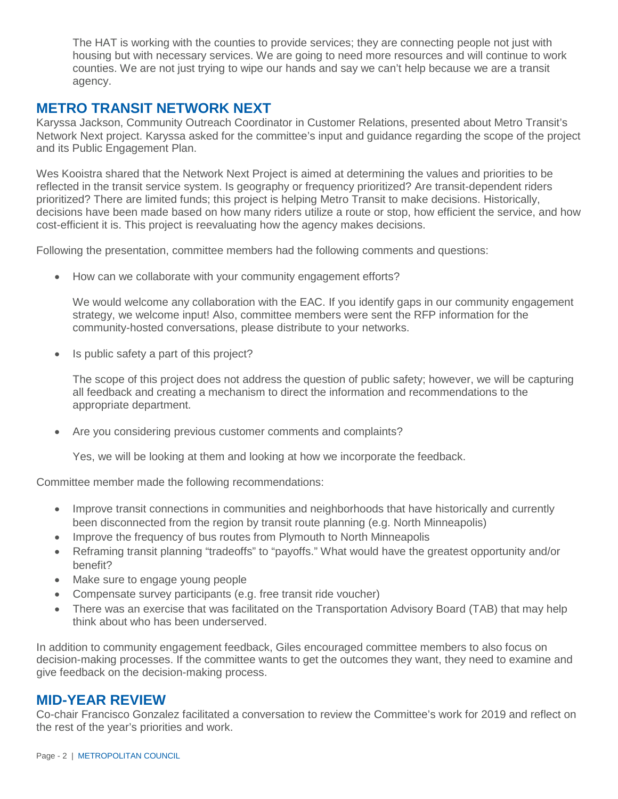The HAT is working with the counties to provide services; they are connecting people not just with housing but with necessary services. We are going to need more resources and will continue to work counties. We are not just trying to wipe our hands and say we can't help because we are a transit agency.

## **METRO TRANSIT NETWORK NEXT**

Karyssa Jackson, Community Outreach Coordinator in Customer Relations, presented about Metro Transit's Network Next project. Karyssa asked for the committee's input and guidance regarding the scope of the project and its Public Engagement Plan.

Wes Kooistra shared that the Network Next Project is aimed at determining the values and priorities to be reflected in the transit service system. Is geography or frequency prioritized? Are transit-dependent riders prioritized? There are limited funds; this project is helping Metro Transit to make decisions. Historically, decisions have been made based on how many riders utilize a route or stop, how efficient the service, and how cost-efficient it is. This project is reevaluating how the agency makes decisions.

Following the presentation, committee members had the following comments and questions:

• How can we collaborate with your community engagement efforts?

We would welcome any collaboration with the EAC. If you identify gaps in our community engagement strategy, we welcome input! Also, committee members were sent the RFP information for the community-hosted conversations, please distribute to your networks.

• Is public safety a part of this project?

The scope of this project does not address the question of public safety; however, we will be capturing all feedback and creating a mechanism to direct the information and recommendations to the appropriate department.

• Are you considering previous customer comments and complaints?

Yes, we will be looking at them and looking at how we incorporate the feedback.

Committee member made the following recommendations:

- Improve transit connections in communities and neighborhoods that have historically and currently been disconnected from the region by transit route planning (e.g. North Minneapolis)
- Improve the frequency of bus routes from Plymouth to North Minneapolis
- Reframing transit planning "tradeoffs" to "payoffs." What would have the greatest opportunity and/or benefit?
- Make sure to engage young people
- Compensate survey participants (e.g. free transit ride voucher)
- There was an exercise that was facilitated on the Transportation Advisory Board (TAB) that may help think about who has been underserved.

In addition to community engagement feedback, Giles encouraged committee members to also focus on decision-making processes. If the committee wants to get the outcomes they want, they need to examine and give feedback on the decision-making process.

### **MID-YEAR REVIEW**

Co-chair Francisco Gonzalez facilitated a conversation to review the Committee's work for 2019 and reflect on the rest of the year's priorities and work.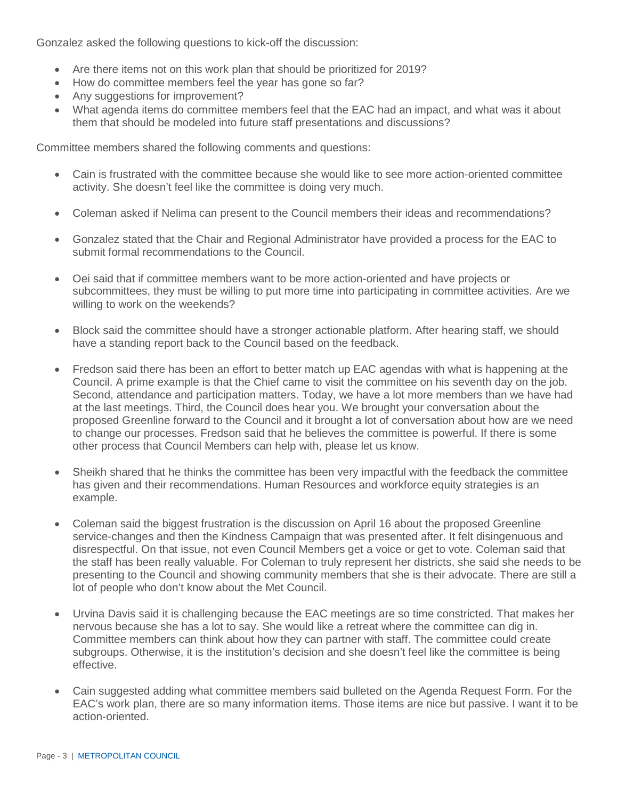Gonzalez asked the following questions to kick-off the discussion:

- Are there items not on this work plan that should be prioritized for 2019?
- How do committee members feel the year has gone so far?
- Any suggestions for improvement?
- What agenda items do committee members feel that the EAC had an impact, and what was it about them that should be modeled into future staff presentations and discussions?

Committee members shared the following comments and questions:

- Cain is frustrated with the committee because she would like to see more action-oriented committee activity. She doesn't feel like the committee is doing very much.
- Coleman asked if Nelima can present to the Council members their ideas and recommendations?
- Gonzalez stated that the Chair and Regional Administrator have provided a process for the EAC to submit formal recommendations to the Council.
- Oei said that if committee members want to be more action-oriented and have projects or subcommittees, they must be willing to put more time into participating in committee activities. Are we willing to work on the weekends?
- Block said the committee should have a stronger actionable platform. After hearing staff, we should have a standing report back to the Council based on the feedback.
- Fredson said there has been an effort to better match up EAC agendas with what is happening at the Council. A prime example is that the Chief came to visit the committee on his seventh day on the job. Second, attendance and participation matters. Today, we have a lot more members than we have had at the last meetings. Third, the Council does hear you. We brought your conversation about the proposed Greenline forward to the Council and it brought a lot of conversation about how are we need to change our processes. Fredson said that he believes the committee is powerful. If there is some other process that Council Members can help with, please let us know.
- Sheikh shared that he thinks the committee has been very impactful with the feedback the committee has given and their recommendations. Human Resources and workforce equity strategies is an example.
- Coleman said the biggest frustration is the discussion on April 16 about the proposed Greenline service-changes and then the Kindness Campaign that was presented after. It felt disingenuous and disrespectful. On that issue, not even Council Members get a voice or get to vote. Coleman said that the staff has been really valuable. For Coleman to truly represent her districts, she said she needs to be presenting to the Council and showing community members that she is their advocate. There are still a lot of people who don't know about the Met Council.
- Urvina Davis said it is challenging because the EAC meetings are so time constricted. That makes her nervous because she has a lot to say. She would like a retreat where the committee can dig in. Committee members can think about how they can partner with staff. The committee could create subgroups. Otherwise, it is the institution's decision and she doesn't feel like the committee is being effective.
- Cain suggested adding what committee members said bulleted on the Agenda Request Form. For the EAC's work plan, there are so many information items. Those items are nice but passive. I want it to be action-oriented.